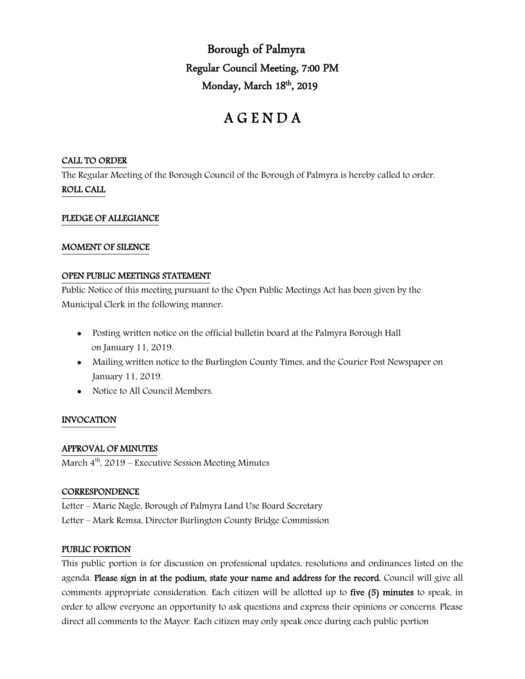Borough of Palmyra Regular Council Meeting, 7:00 PM Monday, March 18<sup>th</sup>, 2019

# A G E N D A

# CALL TO ORDER

The Regular Meeting of the Borough Council of the Borough of Palmyra is hereby called to order. ROLL CALL

# PLEDGE OF ALLEGIANCE

# MOMENT OF SILENCE

# OPEN PUBLIC MEETINGS STATEMENT

Public Notice of this meeting pursuant to the Open Public Meetings Act has been given by the Municipal Clerk in the following manner:

- Posting written notice on the official bulletin board at the Palmyra Borough Hall on January 11, 2019.
- Mailing written notice to the Burlington County Times, and the Courier Post Newspaper on January 11, 2019.
- Notice to All Council Members.

# INVOCATION

# APPROVAL OF MINUTES

March  $4<sup>th</sup>$ , 2019 – Executive Session Meeting Minutes

#### **CORRESPONDENCE**

Letter – Marie Nagle, Borough of Palmyra Land Use Board Secretary

Letter – Mark Remsa, Director Burlington County Bridge Commission

# PUBLIC PORTION

This public portion is for discussion on professional updates, resolutions and ordinances listed on the agenda. Please sign in at the podium, state your name and address for the record. Council will give all comments appropriate consideration. Each citizen will be allotted up to five (5) minutes to speak, in order to allow everyone an opportunity to ask questions and express their opinions or concerns. Please direct all comments to the Mayor. Each citizen may only speak once during each public portion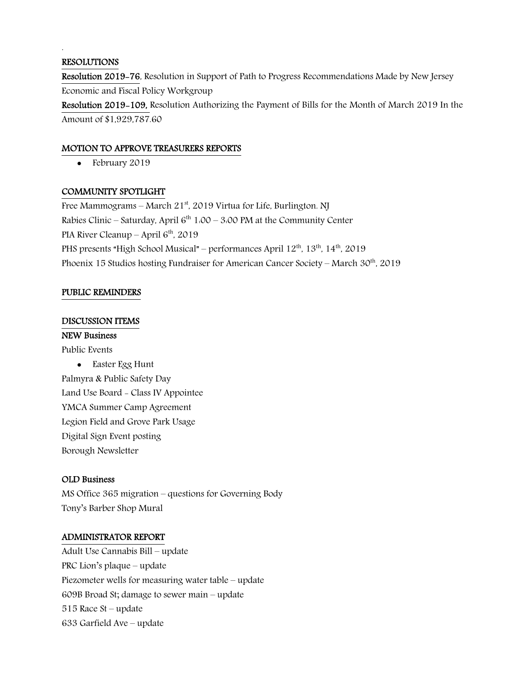### RESOLUTIONS

.

Resolution 2019-76, Resolution in Support of Path to Progress Recommendations Made by New Jersey Economic and Fiscal Policy Workgroup

Resolution 2019-109, Resolution Authorizing the Payment of Bills for the Month of March 2019 In the Amount of \$1,929,787.60

### MOTION TO APPROVE TREASURERS REPORTS

• February 2019

# COMMUNITY SPOTLIGHT

Free Mammograms – March  $21<sup>st</sup>$ , 2019 Virtua for Life, Burlington. NJ Rabies Clinic – Saturday, April  $6<sup>th</sup> 1:00 - 3:00$  PM at the Community Center PIA River Cleanup – April 6<sup>th</sup>, 2019 PHS presents "High School Musical" – performances April  $12^{th}$ ,  $13^{th}$ ,  $14^{th}$ ,  $2019$ Phoenix 15 Studios hosting Fundraiser for American Cancer Society – March  $30<sup>th</sup>$ , 2019

# PUBLIC REMINDERS

#### DISCUSSION ITEMS

#### NEW Business

Public Events

• Easter Egg Hunt Palmyra & Public Safety Day Land Use Board - Class IV Appointee YMCA Summer Camp Agreement Legion Field and Grove Park Usage Digital Sign Event posting Borough Newsletter

#### OLD Business

MS Office 365 migration – questions for Governing Body Tony's Barber Shop Mural

#### ADMINISTRATOR REPORT

Adult Use Cannabis Bill – update PRC Lion's plaque – update Piezometer wells for measuring water table – update 609B Broad St; damage to sewer main – update 515 Race St – update 633 Garfield Ave – update